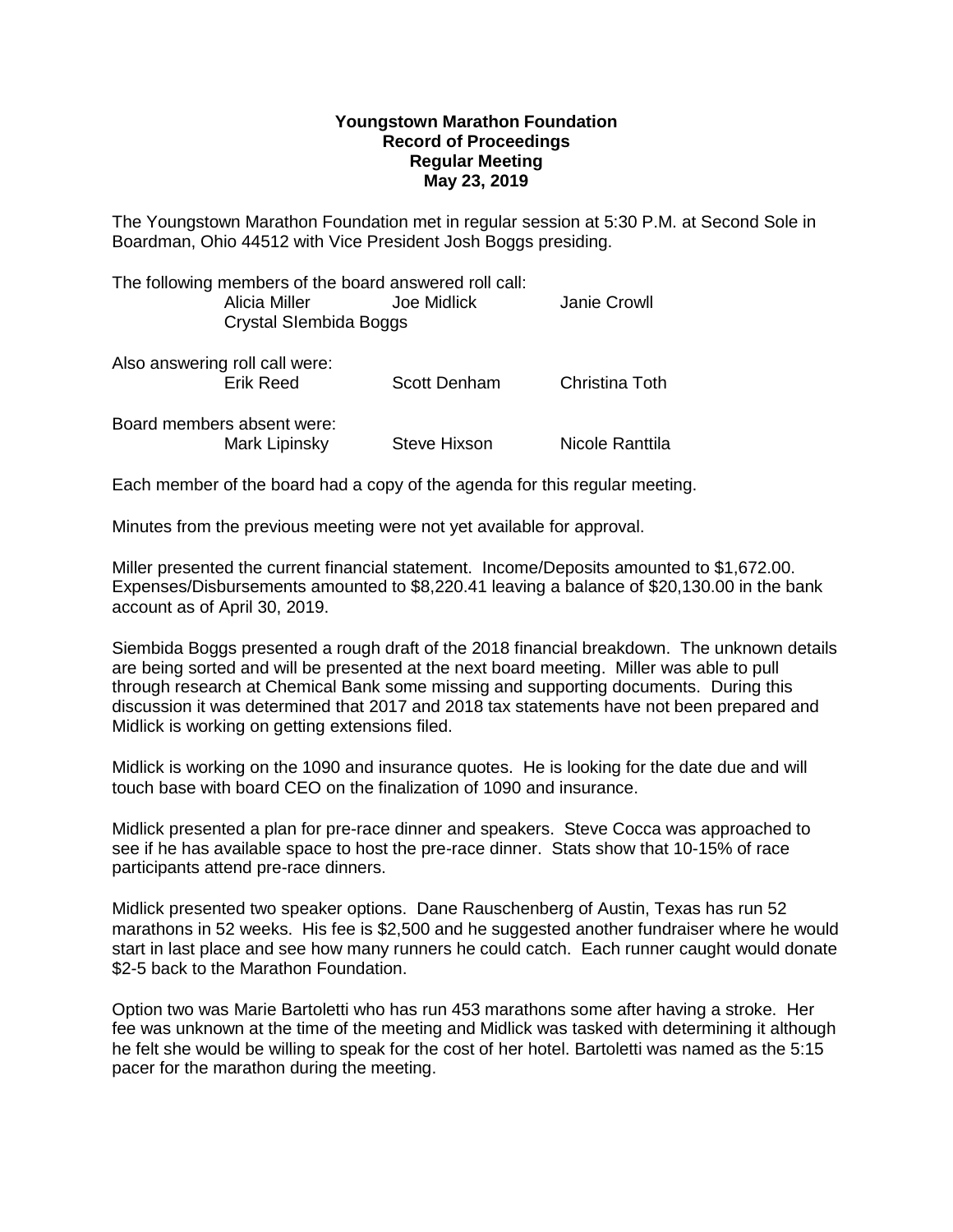## **Youngstown Marathon Foundation Record of Proceedings Regular Meeting May 23, 2019**

The Youngstown Marathon Foundation met in regular session at 5:30 P.M. at Second Sole in Boardman, Ohio 44512 with Vice President Josh Boggs presiding.

| The following members of the board answered roll call:<br>Alicia Miller<br>Crystal Slembida Boggs | Joe Midlick  | Janie Crowll    |
|---------------------------------------------------------------------------------------------------|--------------|-----------------|
| Also answering roll call were:<br><b>Erik Reed</b>                                                | Scott Denham | Christina Toth  |
| Board members absent were:<br>Mark Lipinsky                                                       | Steve Hixson | Nicole Ranttila |

Each member of the board had a copy of the agenda for this regular meeting.

Minutes from the previous meeting were not yet available for approval.

Miller presented the current financial statement. Income/Deposits amounted to \$1,672.00. Expenses/Disbursements amounted to \$8,220.41 leaving a balance of \$20,130.00 in the bank account as of April 30, 2019.

Siembida Boggs presented a rough draft of the 2018 financial breakdown. The unknown details are being sorted and will be presented at the next board meeting. Miller was able to pull through research at Chemical Bank some missing and supporting documents. During this discussion it was determined that 2017 and 2018 tax statements have not been prepared and Midlick is working on getting extensions filed.

Midlick is working on the 1090 and insurance quotes. He is looking for the date due and will touch base with board CEO on the finalization of 1090 and insurance.

Midlick presented a plan for pre-race dinner and speakers. Steve Cocca was approached to see if he has available space to host the pre-race dinner. Stats show that 10-15% of race participants attend pre-race dinners.

Midlick presented two speaker options. Dane Rauschenberg of Austin, Texas has run 52 marathons in 52 weeks. His fee is \$2,500 and he suggested another fundraiser where he would start in last place and see how many runners he could catch. Each runner caught would donate \$2-5 back to the Marathon Foundation.

Option two was Marie Bartoletti who has run 453 marathons some after having a stroke. Her fee was unknown at the time of the meeting and Midlick was tasked with determining it although he felt she would be willing to speak for the cost of her hotel. Bartoletti was named as the 5:15 pacer for the marathon during the meeting.